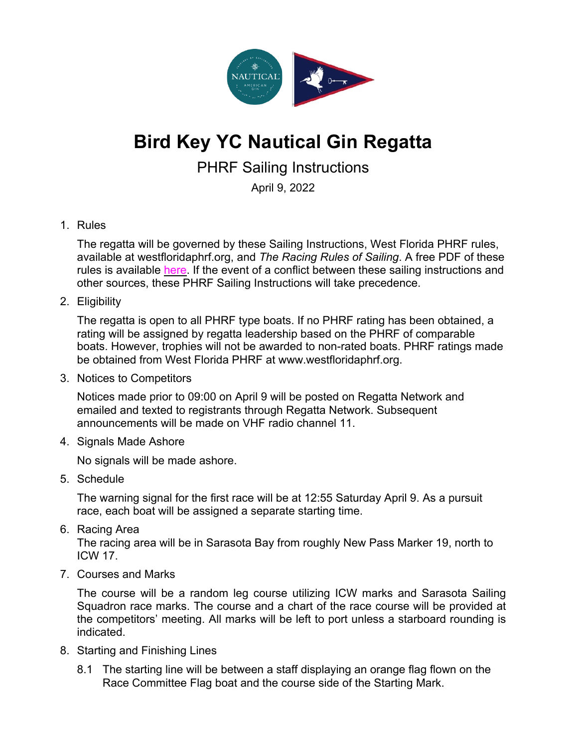

## **Bird Key YC Nautical Gin Regatta**

PHRF Sailing Instructions

April 9, 2022

## 1. Rules

The regatta will be governed by these Sailing Instructions, West Florida PHRF rules, available at westfloridaphrf.org, and *The Racing Rules of Sailing*. A free PDF of these rules is available here. If the event of a conflict between these sailing instructions and other sources, these PHRF Sailing Instructions will take precedence.

## 2. Eligibility

The regatta is open to all PHRF type boats. If no PHRF rating has been obtained, a rating will be assigned by regatta leadership based on the PHRF of comparable boats. However, trophies will not be awarded to non-rated boats. PHRF ratings made be obtained from West Florida PHRF at www.westfloridaphrf.org.

3. Notices to Competitors

Notices made prior to 09:00 on April 9 will be posted on Regatta Network and emailed and texted to registrants through Regatta Network. Subsequent announcements will be made on VHF radio channel 11.

4. Signals Made Ashore

No signals will be made ashore.

5. Schedule

The warning signal for the first race will be at 12:55 Saturday April 9. As a pursuit race, each boat will be assigned a separate starting time.

6. Racing Area

The racing area will be in Sarasota Bay from roughly New Pass Marker 19, north to ICW 17.

7. Courses and Marks

The course will be a random leg course utilizing ICW marks and Sarasota Sailing Squadron race marks. The course and a chart of the race course will be provided at the competitors' meeting. All marks will be left to port unless a starboard rounding is indicated.

- 8. Starting and Finishing Lines
	- 8.1 The starting line will be between a staff displaying an orange flag flown on the Race Committee Flag boat and the course side of the Starting Mark.